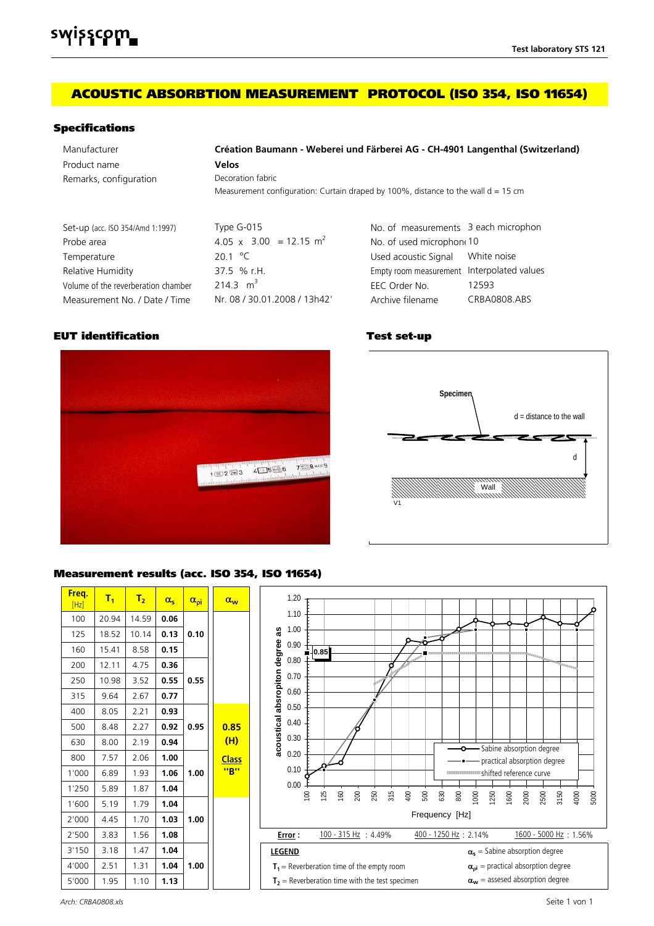# **ACOUSTIC ABSORBTION MEASUREMENT PROTOCOL (ISO 354, ISO 11654)**

### **Specifications**

| Manufacturer                        | Création Baumann - Weberei und Färberei AG - CH-4901 Langenthal (Switzerland)       |                                            |              |  |  |
|-------------------------------------|-------------------------------------------------------------------------------------|--------------------------------------------|--------------|--|--|
| Product name                        | <b>Velos</b>                                                                        |                                            |              |  |  |
| Remarks, configuration              | Decoration fabric                                                                   |                                            |              |  |  |
|                                     | Measurement configuration: Curtain draped by 100%, distance to the wall $d = 15$ cm |                                            |              |  |  |
| Set-up (acc. ISO 354/Amd 1:1997)    | Type G-015                                                                          | No. of measurements 3 each microphon       |              |  |  |
| Probe area                          | 4.05 x 3.00 = 12.15 m <sup>2</sup>                                                  | No. of used microphon 10                   |              |  |  |
| Temperature                         | 201 °C                                                                              | Used acoustic Signal                       | White noise  |  |  |
| Relative Humidity                   | 37.5 % r.H.                                                                         | Empty room measurement Interpolated values |              |  |  |
| Volume of the reverberation chamber | 214 3 $m^3$                                                                         | EEC Order No.                              | 12593        |  |  |
| Measurement No. / Date / Time       | Nr. 08 / 30.01.2008 / 13h42'                                                        | Archive filename                           | CRBA0808.ABS |  |  |

### **EUT identification Test set-up**



### **Specimen** *half opened fins (w = 45°)* **Specimen** *opened fins (w = 90°)* d = distance to the wall d = distance to the wall  $\epsilon$  h 7 **Specimen** d d d Wall Wall Wall Wall Floor Floor Wall V2 L1 L2 V1 d = distance to the wall walls d = distance to the wall = distance to the wall = distance to the wall = distance to the wall = distance to th<br>- distance to the wall = distance to the wall = distance to the wall = distance to the wall = distance to the

## **Measurement results (acc. ISO 354, ISO 11654)**

| Freq.<br>[Hz] | $T_1$ | T <sub>2</sub> | $\alpha_{s}$ | $\alpha_{oi}$ | $\alpha_{\rm w}$ | 1.20                                                                                               |
|---------------|-------|----------------|--------------|---------------|------------------|----------------------------------------------------------------------------------------------------|
| 100           | 20.94 | 14.59          | 0.06         |               |                  | 1.10                                                                                               |
| 125           | 18.52 | 10.14          | 0.13         | 0.10          |                  | 1.00<br>as                                                                                         |
| 160           | 15.41 | 8.58           | 0.15         |               |                  | 0.90<br>0.85                                                                                       |
| 200           | 12.11 | 4.75           | 0.36         |               |                  | 0.80<br>$\mu_{\mathcal{U}_{\mathcal{U}_{\mathcal{U}_{\mathcal{U}_{\mathcal{U}}}}}}$<br>o           |
| 250           | 10.98 | 3.52           | 0.55         | 0.55          |                  | 0.70                                                                                               |
| 315           | 9.64  | 2.67           | 0.77         |               |                  | absropiton degree<br>0.60                                                                          |
| 400           | 8.05  | 2.21           | 0.93         |               |                  | 0.50                                                                                               |
| 500           | 8.48  | 2.27           | 0.92         | 0.95          | 0.85             | acoustical<br>0.40                                                                                 |
| 630           | 8.00  | 2.19           | 0.94         |               | (H)              | 0.30<br>-O-Sabine absorption degree                                                                |
| 800           | 7.57  | 2.06           | 1.00         |               | <b>Class</b>     | 0.20<br>practical absorption degree                                                                |
| 1'000         | 6.89  | 1.93           | 1.06         | 1.00          | "B"              | 0.10<br><b>WEREEVEREIGHTERING Shifted reference curve</b>                                          |
| 1'250         | 5.89  | 1.87           | 1.04         |               |                  | 0.00<br>250<br>$400$<br>$500\,$<br>160<br>630<br>$800\,$<br>200<br>315<br>$\approx$<br>125         |
| 1'600         | 5.19  | 1.79           | 1.04         |               |                  | 1000<br>1600<br>2500<br>3150<br>1250<br>2000<br>4000<br>5000                                       |
| 2'000         | 4.45  | 1.70           | 1.03         | 1.00          |                  | Frequency [Hz]                                                                                     |
| 2'500         | 3.83  | 1.56           | 1.08         |               |                  | 100 - 315 Hz : 4.49%<br>1600 - 5000 Hz : 1.56%<br>400 - 1250 Hz : 2.14%<br>Error:                  |
| 3'150         | 3.18  | 1.47           | 1.04         |               |                  | $\alpha_s$ = Sabine absorption degree<br><b>LEGEND</b>                                             |
| 4'000         | 2.51  | 1.31           | 1.04         | 1.00          |                  | $\alpha_{\text{pi}}$ = practical absorption degree<br>$T_1$ = Reverberation time of the empty room |
| 5'000         | 1.95  | 1.10           | 1.13         |               |                  | $\alpha_w$ = assesed absorption degree<br>$T2$ = Reverberation time with the test specimen         |